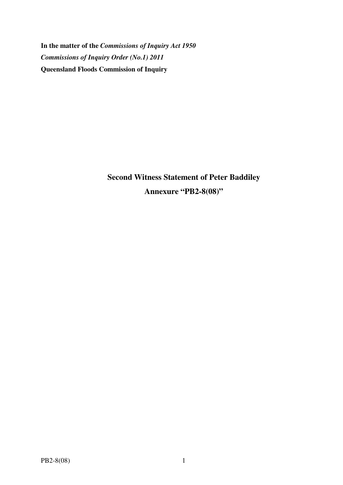**In the matter of the** *Commissions of Inquiry Act 1950 Commissions of Inquiry Order (No.1) 2011* **Queensland Floods Commission of Inquiry** 

> **Second Witness Statement of Peter Baddiley Annexure "PB2-8(08)"**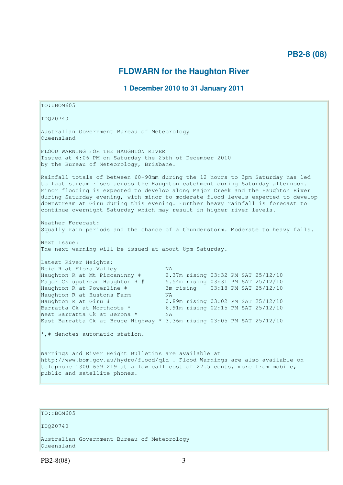## **PB2-8 (08)**

## **FLDWARN for the Haughton River**

### **1 December 2010 to 31 January 2011**

TO::BOM605 IDQ20740 Australian Government Bureau of Meteorology Queensland FLOOD WARNING FOR THE HAUGHTON RIVER Issued at 4:06 PM on Saturday the 25th of December 2010 by the Bureau of Meteorology, Brisbane. Rainfall totals of between 60-90mm during the 12 hours to 3pm Saturday has led to fast stream rises across the Haughton catchment during Saturday afternoon. Minor flooding is expected to develop along Major Creek and the Haughton River during Saturday evening, with minor to moderate flood levels expected to develop downstream at Giru during this evening. Further heavy rainfall is forecast to continue overnight Saturday which may result in higher river levels. Weather Forecast: Squally rain periods and the chance of a thunderstorm. Moderate to heavy falls. Next Issue: The next warning will be issued at about 8pm Saturday. Latest River Heights: Reid R at Flora Valley NA Haughton R at Mt Piccaninny # 2.37m rising 03:32 PM SAT 25/12/10 Major Ck upstream Haughton R # 5.54m rising 03:31 PM SAT 25/12/10 Haughton R at Powerline # 3m rising 03:18 PM SAT 25/12/10 Haughton R at Hustons Farm MA<br>Haughton R at Giru # 0.8 0.89m rising 03:02 PM SAT 25/12/10 Barratta Ck at Northcote \* 6.91m rising 02:15 PM SAT 25/12/10 West Barratta Ck at Jerona \* NA East Barratta Ck at Bruce Highway \* 3.36m rising 03:05 PM SAT 25/12/10  $\star$ ,# denotes automatic station. Warnings and River Height Bulletins are available at http://www.bom.gov.au/hydro/flood/qld . Flood Warnings are also available on telephone 1300 659 219 at a low call cost of 27.5 cents, more from mobile, public and satellite phones.

#### TO::BOM605

IDQ20740

Australian Government Bureau of Meteorology Queensland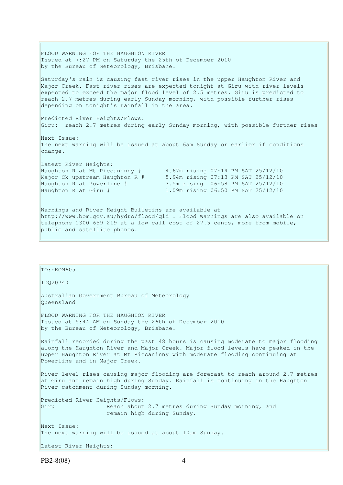FLOOD WARNING FOR THE HAUGHTON RIVER Issued at 7:27 PM on Saturday the 25th of December 2010 by the Bureau of Meteorology, Brisbane. Saturday's rain is causing fast river rises in the upper Haughton River and Major Creek. Fast river rises are expected tonight at Giru with river levels expected to exceed the major flood level of 2.5 metres. Giru is predicted to reach 2.7 metres during early Sunday morning, with possible further rises depending on tonight's rainfall in the area. Predicted River Heights/Flows: Giru: reach 2.7 metres during early Sunday morning, with possible further rises Next Issue: The next warning will be issued at about 6am Sunday or earlier if conditions change. Latest River Heights: Haughton R at Mt Piccaninny # 4.67m rising 07:14 PM SAT 25/12/10 Major Ck upstream Haughton R # 5.94m rising 07:13 PM SAT 25/12/10 Haughton R at Powerline # 3.5m rising 06:58 PM SAT 25/12/10 Haughton R at Giru # 1.09m rising 06:50 PM SAT 25/12/10 Warnings and River Height Bulletins are available at http://www.bom.gov.au/hydro/flood/qld . Flood Warnings are also available on telephone 1300 659 219 at a low call cost of 27.5 cents, more from mobile, public and satellite phones.

# IDQ20740 Australian Government Bureau of Meteorology Queensland FLOOD WARNING FOR THE HAUGHTON RIVER Issued at 5:44 AM on Sunday the 26th of December 2010 by the Bureau of Meteorology, Brisbane.

 $TO: : BOM605$ 

Rainfall recorded during the past 48 hours is causing moderate to major flooding along the Haughton River and Major Creek. Major flood levels have peaked in the upper Haughton River at Mt Piccaninny with moderate flooding continuing at Powerline and in Major Creek.

River level rises causing major flooding are forecast to reach around 2.7 metres at Giru and remain high during Sunday. Rainfall is continuing in the Haughton River catchment during Sunday morning.

Predicted River Heights/Flows: Giru Reach about 2.7 metres during Sunday morning, and remain high during Sunday. Next Issue: The next warning will be issued at about 10am Sunday.

```
Latest River Heights:
```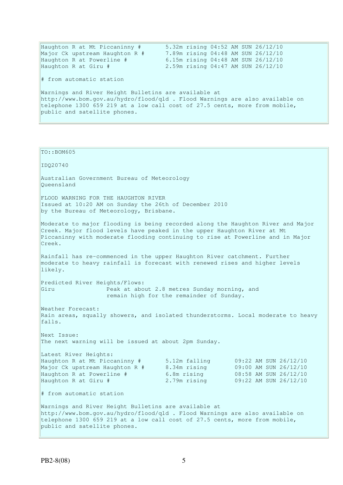| Haughton R at Mt Piccaninny #                                                | 5.32m rising 04:52 AM SUN 26/12/10 |  |
|------------------------------------------------------------------------------|------------------------------------|--|
| Major Ck upstream Haughton R #                                               | 7.89m rising 04:48 AM SUN 26/12/10 |  |
| Haughton R at Powerline #                                                    | 6.15m rising 04:48 AM SUN 26/12/10 |  |
| Haughton R at Giru #                                                         | 2.59m rising 04:47 AM SUN 26/12/10 |  |
| # from automatic station                                                     |                                    |  |
| Warnings and River Height Bulletins are available at                         |                                    |  |
| http://www.bom.gov.au/hydro/flood/qld . Flood Warnings are also available on |                                    |  |
| telephone 1300 659 219 at a low call cost of 27.5 cents, more from mobile,   |                                    |  |
| public and satellite phones.                                                 |                                    |  |
|                                                                              |                                    |  |

| TO:: BOM605                                                                                                                                               |                                              |                                                |  |
|-----------------------------------------------------------------------------------------------------------------------------------------------------------|----------------------------------------------|------------------------------------------------|--|
|                                                                                                                                                           |                                              |                                                |  |
| IDQ20740                                                                                                                                                  |                                              |                                                |  |
| Australian Government Bureau of Meteorology                                                                                                               |                                              |                                                |  |
| Oueensland                                                                                                                                                |                                              |                                                |  |
| FLOOD WARNING FOR THE HAUGHTON RIVER                                                                                                                      |                                              |                                                |  |
| Issued at 10:20 AM on Sunday the 26th of December 2010                                                                                                    |                                              |                                                |  |
| by the Bureau of Meteorology, Brisbane.                                                                                                                   |                                              |                                                |  |
| Moderate to major flooding is being recorded along the Haughton River and Major                                                                           |                                              |                                                |  |
| Creek. Major flood levels have peaked in the upper Haughton River at Mt<br>Piccaninny with moderate flooding continuing to rise at Powerline and in Major |                                              |                                                |  |
| Creek.                                                                                                                                                    |                                              |                                                |  |
|                                                                                                                                                           |                                              |                                                |  |
| Rainfall has re-commenced in the upper Haughton River catchment. Further<br>moderate to heavy rainfall is forecast with renewed rises and higher levels   |                                              |                                                |  |
| likely.                                                                                                                                                   |                                              |                                                |  |
| Predicted River Heights/Flows:                                                                                                                            |                                              |                                                |  |
| Giru                                                                                                                                                      | Peak at about 2.8 metres Sunday morning, and |                                                |  |
| remain high for the remainder of Sunday.                                                                                                                  |                                              |                                                |  |
| Weather Forecast:                                                                                                                                         |                                              |                                                |  |
| Rain areas, squally showers, and isolated thunderstorms. Local moderate to heavy<br>falls.                                                                |                                              |                                                |  |
|                                                                                                                                                           |                                              |                                                |  |
| Next Issue:                                                                                                                                               |                                              |                                                |  |
| The next warning will be issued at about 2pm Sunday.                                                                                                      |                                              |                                                |  |
| Latest River Heights:                                                                                                                                     |                                              |                                                |  |
| Haughton R at Mt Piccaninny #<br>Major Ck upstream Haughton R #                                                                                           | 5.12m falling<br>8.34m rising                | 09:22 AM SUN 26/12/10<br>09:00 AM SUN 26/12/10 |  |
| Haughton R at Powerline #                                                                                                                                 | 6.8m rising                                  | 08:58 AM SUN 26/12/10                          |  |
| Haughton R at Giru #                                                                                                                                      | 2.79m rising                                 | 09:22 AM SUN 26/12/10                          |  |
| # from automatic station                                                                                                                                  |                                              |                                                |  |
| Warnings and River Height Bulletins are available at                                                                                                      |                                              |                                                |  |
| http://www.bom.gov.au/hydro/flood/qld . Flood Warnings are also available on                                                                              |                                              |                                                |  |
| telephone 1300 659 219 at a low call cost of 27.5 cents, more from mobile,<br>public and satellite phones.                                                |                                              |                                                |  |
|                                                                                                                                                           |                                              |                                                |  |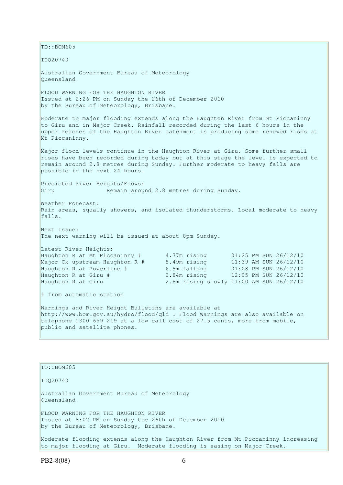$TO:$ : BOM605 IDQ20740 Australian Government Bureau of Meteorology Queensland FLOOD WARNING FOR THE HAUGHTON RIVER Issued at 2:26 PM on Sunday the 26th of December 2010 by the Bureau of Meteorology, Brisbane. Moderate to major flooding extends along the Haughton River from Mt Piccaninny to Giru and in Major Creek. Rainfall recorded during the last 6 hours in the upper reaches of the Haughton River catchment is producing some renewed rises at Mt Piccaninny. Major flood levels continue in the Haughton River at Giru. Some further small rises have been recorded during today but at this stage the level is expected to remain around 2.8 metres during Sunday. Further moderate to heavy falls are possible in the next 24 hours. Predicted River Heights/Flows: Giru Remain around 2.8 metres during Sunday. Weather Forecast: Rain areas, squally showers, and isolated thunderstorms. Local moderate to heavy falls. Next Issue: The next warning will be issued at about 8pm Sunday. Latest River Heights: Haughton R at Mt Piccaninny # 4.77m rising 01:25 PM SUN 26/12/10<br>Major Ck upstream Haughton R # 8.49m rising 11:39 AM SUN 26/12/10 Major Ck upstream Haughton R  $#$ Haughton R at Powerline # 6.9m falling 01:08 PM SUN 26/12/10 Haughton R at Giru # 2.84m rising 12:05 PM SUN 26/12/10 Haughton R at Giru 2.8m rising slowly 11:00 AM SUN 26/12/10 # from automatic station Warnings and River Height Bulletins are available at http://www.bom.gov.au/hydro/flood/qld . Flood Warnings are also available on telephone 1300 659 219 at a low call cost of 27.5 cents, more from mobile, public and satellite phones.

TO::BOM605 IDQ20740 Australian Government Bureau of Meteorology Queensland FLOOD WARNING FOR THE HAUGHTON RIVER Issued at 8:02 PM on Sunday the 26th of December 2010 by the Bureau of Meteorology, Brisbane. Moderate flooding extends along the Haughton River from Mt Piccaninny increasing to major flooding at Giru. Moderate flooding is easing on Major Creek.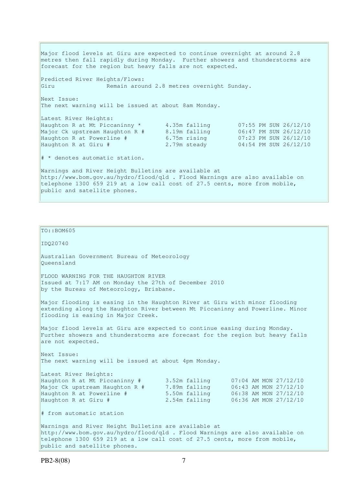Major flood levels at Giru are expected to continue overnight at around 2.8 metres then fall rapidly during Monday. Further showers and thunderstorms are forecast for the region but heavy falls are not expected. Predicted River Heights/Flows: Giru Remain around 2.8 metres overnight Sunday. Next Issue: The next warning will be issued at about 8am Monday. Latest River Heights: Haughton R at Mt Piccaninny \* 4.35m falling 07:55 PM SUN 26/12/10 Major Ck upstream Haughton R # 8.19m falling 06:47 PM SUN 26/12/10 Haughton R at Powerline # 6.75m rising 07:23 PM SUN 26/12/10 Haughton R at Giru # 2.79m steady 04:54 PM SUN 26/12/10 # \* denotes automatic station. Warnings and River Height Bulletins are available at http://www.bom.gov.au/hydro/flood/qld . Flood Warnings are also available on telephone 1300 659 219 at a low call cost of 27.5 cents, more from mobile, public and satellite phones.

```
IDQ20740 
Australian Government Bureau of Meteorology 
Queensland 
FLOOD WARNING FOR THE HAUGHTON RIVER 
Issued at 7:17 AM on Monday the 27th of December 2010 
by the Bureau of Meteorology, Brisbane.
Major flooding is easing in the Haughton River at Giru with minor flooding 
extending along the Haughton River between Mt Piccaninny and Powerline. Minor 
flooding is easing in Major Creek. 
Major flood levels at Giru are expected to continue easing during Monday. 
Further showers and thunderstorms are forecast for the region but heavy falls 
are not expected. 
Next Issue: 
The next warning will be issued at about 4pm Monday. 
Latest River Heights: 
Haughton R at Mt Piccaninny # 3.52m falling 07:04 AM MON 27/12/10<br>
Major Ck upstream Haughton R # 7.89m falling 06:43 AM MON 27/12/10<br>
Haughton R at Powerline # 5.50m falling 06:38 AM MON 27/12/10<br>
2.54m falling 06:36 A
Major Ck upstream Haughton R # 7.89m falling 06:43 AM MON 27/12/10 
Haughton R at Powerline # 5.50m falling 06:38 AM MON 27/12/10 
Hayof CA upocream nacyncon ...<br>
Haughton R at Powerline # 5.50m falling 06:38 AM MON 27/12/10<br>
Haughton R at Giru # 2.54m falling 06:36 AM MON 27/12/10
# from automatic station 
Warnings and River Height Bulletins are available at 
http://www.bom.gov.au/hydro/flood/qld . Flood Warnings are also available on 
telephone 1300 659 219 at a low call cost of 27.5 cents, more from mobile,
```

```
public and satellite phones.
```
TO::BOM605